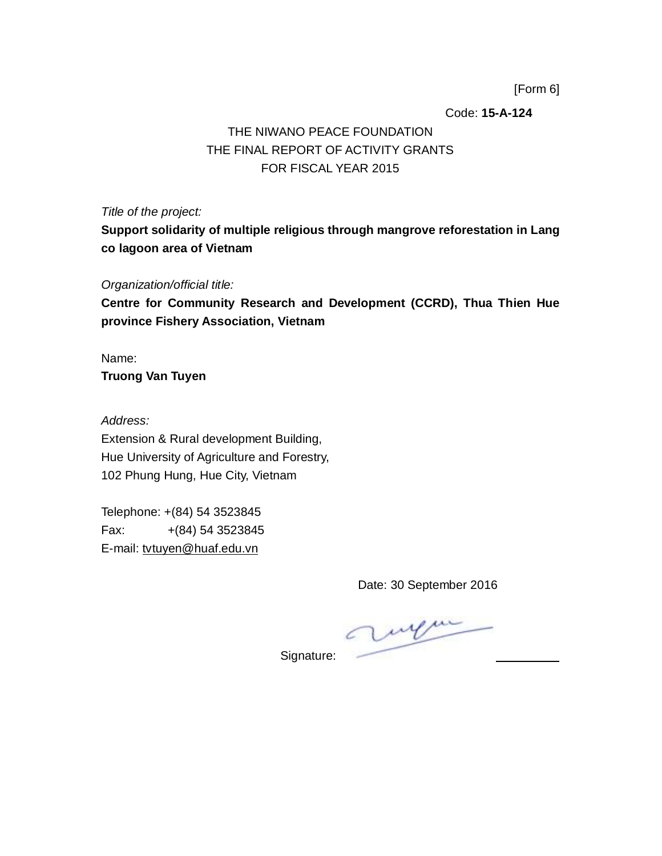[Form 6]

Code: **15-A-124**

## THE NIWANO PEACE FOUNDATION THE FINAL REPORT OF ACTIVITY GRANTS FOR FISCAL YEAR 2015

*Title of the project:*

**Support solidarity of multiple religious through mangrove reforestation in Lang co lagoon area of Vietnam**

*Organization/official title:*

**Centre for Community Research and Development (CCRD), Thua Thien Hue province Fishery Association, Vietnam**

Name: **Truong Van Tuyen**

*Address:* Extension & Rural development Building, Hue University of Agriculture and Forestry, 102 Phung Hung, Hue City, Vietnam

Telephone: +(84) 54 3523845 Fax: +(84) 54 3523845 E-mail: [tvtuyen@huaf.edu.vn](mailto:tvtuyen@huaf.edu.vn)

Date: 30 September 2016

Signature: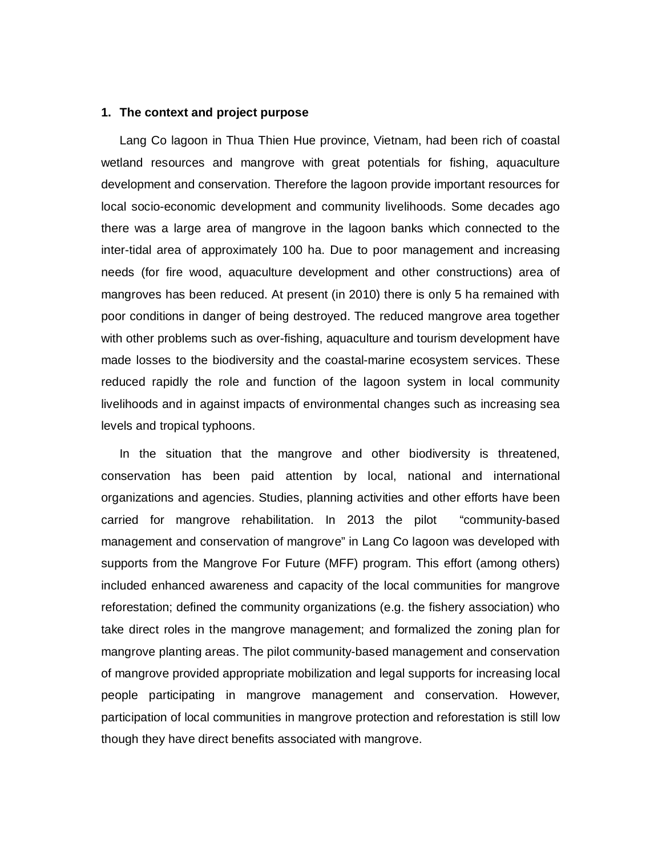#### **1. The context and project purpose**

Lang Co lagoon in Thua Thien Hue province, Vietnam, had been rich of coastal wetland resources and mangrove with great potentials for fishing, aquaculture development and conservation. Therefore the lagoon provide important resources for local socio-economic development and community livelihoods. Some decades ago there was a large area of mangrove in the lagoon banks which connected to the inter-tidal area of approximately 100 ha. Due to poor management and increasing needs (for fire wood, aquaculture development and other constructions) area of mangroves has been reduced. At present (in 2010) there is only 5 ha remained with poor conditions in danger of being destroyed. The reduced mangrove area together with other problems such as over-fishing, aquaculture and tourism development have made losses to the biodiversity and the coastal-marine ecosystem services. These reduced rapidly the role and function of the lagoon system in local community livelihoods and in against impacts of environmental changes such as increasing sea levels and tropical typhoons.

In the situation that the mangrove and other biodiversity is threatened, conservation has been paid attention by local, national and international organizations and agencies. Studies, planning activities and other efforts have been carried for mangrove rehabilitation. In 2013 the pilot "community-based management and conservation of mangrove" in Lang Co lagoon was developed with supports from the Mangrove For Future (MFF) program. This effort (among others) included enhanced awareness and capacity of the local communities for mangrove reforestation; defined the community organizations (e.g. the fishery association) who take direct roles in the mangrove management; and formalized the zoning plan for mangrove planting areas. The pilot community-based management and conservation of mangrove provided appropriate mobilization and legal supports for increasing local people participating in mangrove management and conservation. However, participation of local communities in mangrove protection and reforestation is still low though they have direct benefits associated with mangrove.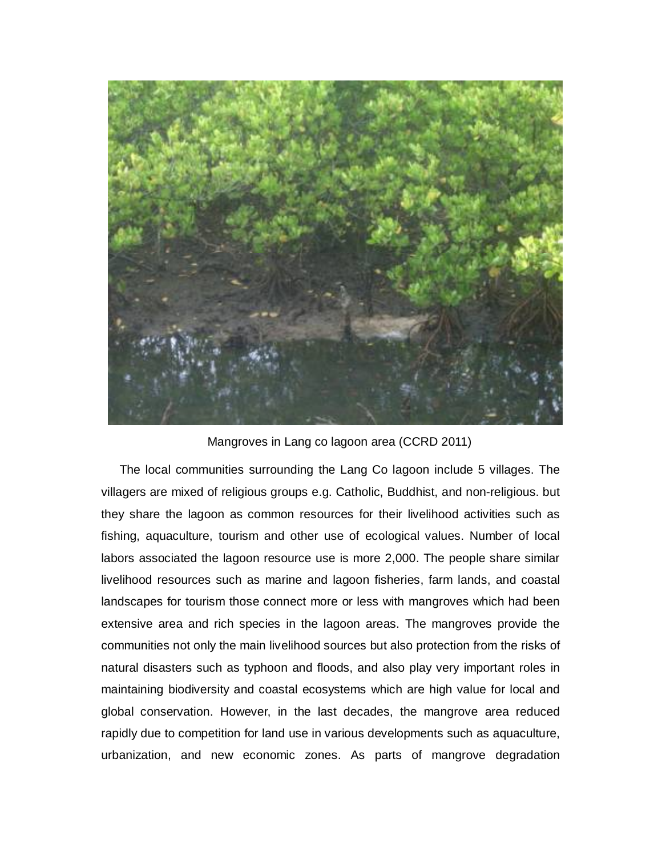

Mangroves in Lang co lagoon area (CCRD 2011)

The local communities surrounding the Lang Co lagoon include 5 villages. The villagers are mixed of religious groups e.g. Catholic, Buddhist, and non-religious. but they share the lagoon as common resources for their livelihood activities such as fishing, aquaculture, tourism and other use of ecological values. Number of local labors associated the lagoon resource use is more 2,000. The people share similar livelihood resources such as marine and lagoon fisheries, farm lands, and coastal landscapes for tourism those connect more or less with mangroves which had been extensive area and rich species in the lagoon areas. The mangroves provide the communities not only the main livelihood sources but also protection from the risks of natural disasters such as typhoon and floods, and also play very important roles in maintaining biodiversity and coastal ecosystems which are high value for local and global conservation. However, in the last decades, the mangrove area reduced rapidly due to competition for land use in various developments such as aquaculture, urbanization, and new economic zones. As parts of mangrove degradation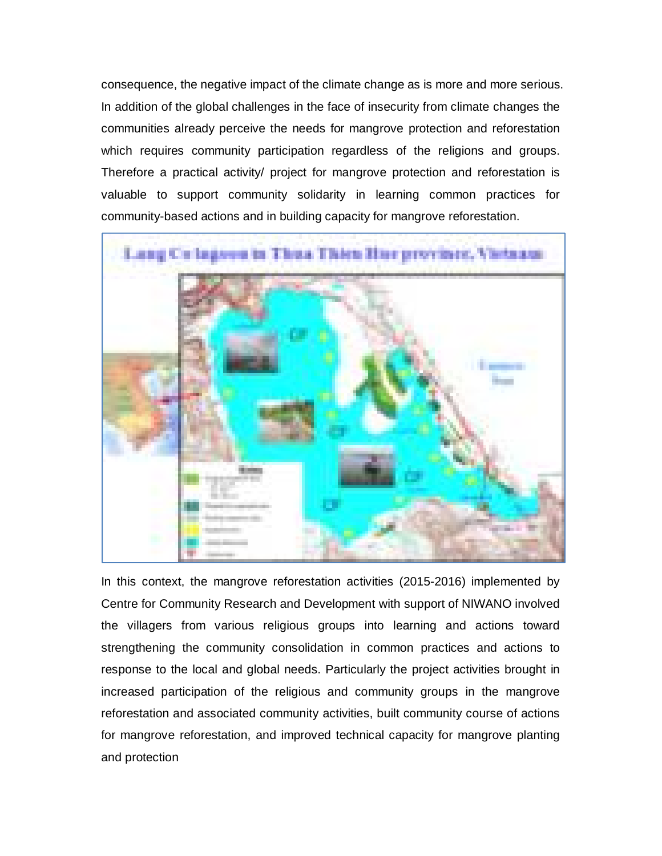consequence, the negative impact of the climate change as is more and more serious. In addition of the global challenges in the face of insecurity from climate changes the communities already perceive the needs for mangrove protection and reforestation which requires community participation regardless of the religions and groups. Therefore a practical activity/ project for mangrove protection and reforestation is valuable to support community solidarity in learning common practices for community-based actions and in building capacity for mangrove reforestation.



In this context, the mangrove reforestation activities (2015-2016) implemented by Centre for Community Research and Development with support of NIWANO involved the villagers from various religious groups into learning and actions toward strengthening the community consolidation in common practices and actions to response to the local and global needs. Particularly the project activities brought in increased participation of the religious and community groups in the mangrove reforestation and associated community activities, built community course of actions for mangrove reforestation, and improved technical capacity for mangrove planting and protection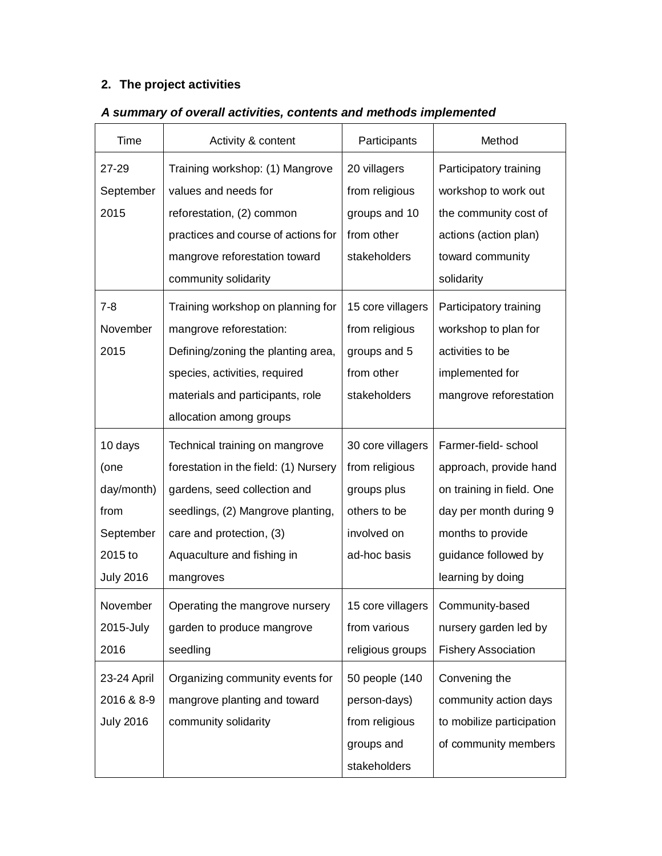# **2. The project activities**

| Time             | Activity & content                    | Participants      | Method                     |
|------------------|---------------------------------------|-------------------|----------------------------|
| 27-29            | Training workshop: (1) Mangrove       | 20 villagers      | Participatory training     |
| September        | values and needs for                  | from religious    | workshop to work out       |
| 2015             | reforestation, (2) common             | groups and 10     | the community cost of      |
|                  | practices and course of actions for   | from other        | actions (action plan)      |
|                  | mangrove reforestation toward         | stakeholders      | toward community           |
|                  | community solidarity                  |                   | solidarity                 |
| $7 - 8$          | Training workshop on planning for     | 15 core villagers | Participatory training     |
| November         | mangrove reforestation:               | from religious    | workshop to plan for       |
| 2015             | Defining/zoning the planting area,    | groups and 5      | activities to be           |
|                  | species, activities, required         | from other        | implemented for            |
|                  | materials and participants, role      | stakeholders      | mangrove reforestation     |
|                  | allocation among groups               |                   |                            |
| 10 days          | Technical training on mangrove        | 30 core villagers | Farmer-field- school       |
| (one             | forestation in the field: (1) Nursery | from religious    | approach, provide hand     |
| day/month)       | gardens, seed collection and          | groups plus       | on training in field. One  |
| from             | seedlings, (2) Mangrove planting,     | others to be      | day per month during 9     |
| September        | care and protection, (3)              | involved on       | months to provide          |
| 2015 to          | Aquaculture and fishing in            | ad-hoc basis      | guidance followed by       |
| <b>July 2016</b> | mangroves                             |                   | learning by doing          |
| November         | Operating the mangrove nursery        | 15 core villagers | Community-based            |
| 2015-July        | garden to produce mangrove            | from various      | nursery garden led by      |
| 2016             | seedling                              | religious groups  | <b>Fishery Association</b> |
| 23-24 April      | Organizing community events for       | 50 people (140    | Convening the              |
| 2016 & 8-9       | mangrove planting and toward          | person-days)      | community action days      |
| <b>July 2016</b> | community solidarity                  | from religious    | to mobilize participation  |
|                  |                                       | groups and        | of community members       |
|                  |                                       | stakeholders      |                            |

# *A summary of overall activities, contents and methods implemented*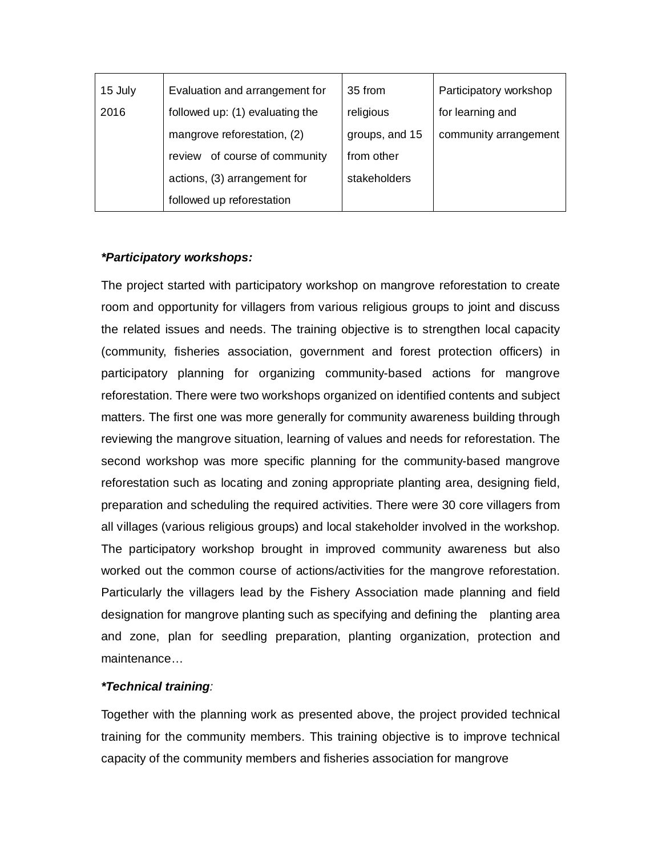| 15 July | Evaluation and arrangement for  | 35 from        | Participatory workshop |
|---------|---------------------------------|----------------|------------------------|
| 2016    | followed up: (1) evaluating the | religious      | for learning and       |
|         | mangrove reforestation, (2)     | groups, and 15 | community arrangement  |
|         | review of course of community   | from other     |                        |
|         | actions, (3) arrangement for    | stakeholders   |                        |
|         | followed up reforestation       |                |                        |

## *\*Participatory workshops:*

The project started with participatory workshop on mangrove reforestation to create room and opportunity for villagers from various religious groups to joint and discuss the related issues and needs. The training objective is to strengthen local capacity (community, fisheries association, government and forest protection officers) in participatory planning for organizing community-based actions for mangrove reforestation. There were two workshops organized on identified contents and subject matters. The first one was more generally for community awareness building through reviewing the mangrove situation, learning of values and needs for reforestation. The second workshop was more specific planning for the community-based mangrove reforestation such as locating and zoning appropriate planting area, designing field, preparation and scheduling the required activities. There were 30 core villagers from all villages (various religious groups) and local stakeholder involved in the workshop. The participatory workshop brought in improved community awareness but also worked out the common course of actions/activities for the mangrove reforestation. Particularly the villagers lead by the Fishery Association made planning and field designation for mangrove planting such as specifying and defining the planting area and zone, plan for seedling preparation, planting organization, protection and maintenance…

## *\*Technical training:*

Together with the planning work as presented above, the project provided technical training for the community members. This training objective is to improve technical capacity of the community members and fisheries association for mangrove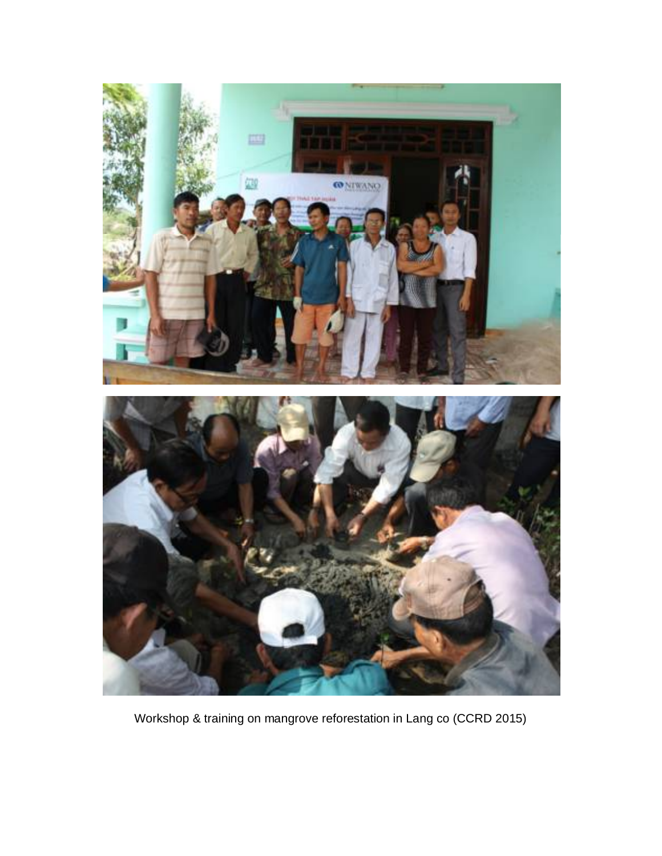

Workshop & training on mangrove reforestation in Lang co (CCRD 2015)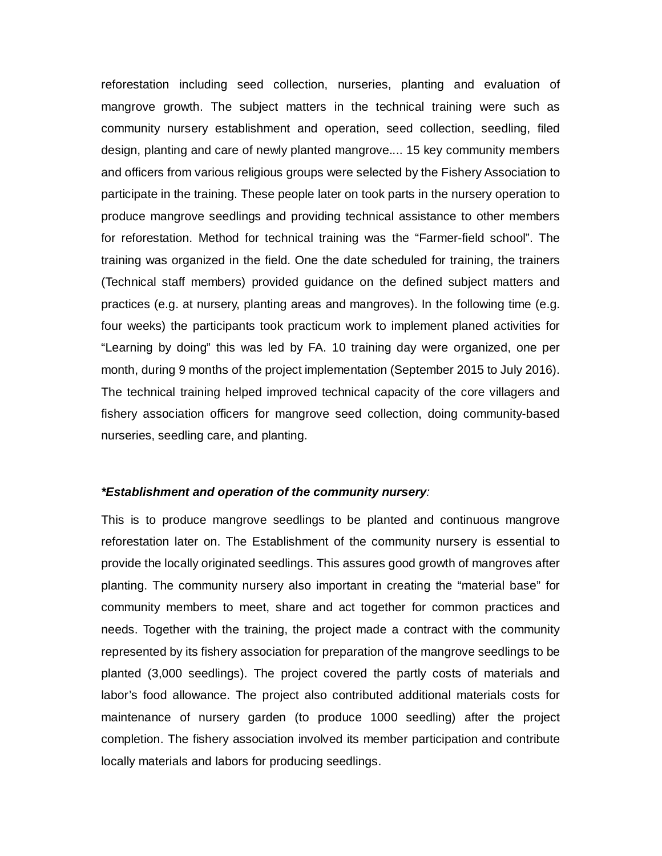reforestation including seed collection, nurseries, planting and evaluation of mangrove growth. The subject matters in the technical training were such as community nursery establishment and operation, seed collection, seedling, filed design, planting and care of newly planted mangrove.... 15 key community members and officers from various religious groups were selected by the Fishery Association to participate in the training. These people later on took parts in the nursery operation to produce mangrove seedlings and providing technical assistance to other members for reforestation. Method for technical training was the "Farmer-field school". The training was organized in the field. One the date scheduled for training, the trainers (Technical staff members) provided guidance on the defined subject matters and practices (e.g. at nursery, planting areas and mangroves). In the following time (e.g. four weeks) the participants took practicum work to implement planed activities for "Learning by doing" this was led by FA. 10 training day were organized, one per month, during 9 months of the project implementation (September 2015 to July 2016). The technical training helped improved technical capacity of the core villagers and fishery association officers for mangrove seed collection, doing community-based nurseries, seedling care, and planting.

#### *\*Establishment and operation of the community nursery:*

This is to produce mangrove seedlings to be planted and continuous mangrove reforestation later on. The Establishment of the community nursery is essential to provide the locally originated seedlings. This assures good growth of mangroves after planting. The community nursery also important in creating the "material base" for community members to meet, share and act together for common practices and needs. Together with the training, the project made a contract with the community represented by its fishery association for preparation of the mangrove seedlings to be planted (3,000 seedlings). The project covered the partly costs of materials and labor's food allowance. The project also contributed additional materials costs for maintenance of nursery garden (to produce 1000 seedling) after the project completion. The fishery association involved its member participation and contribute locally materials and labors for producing seedlings.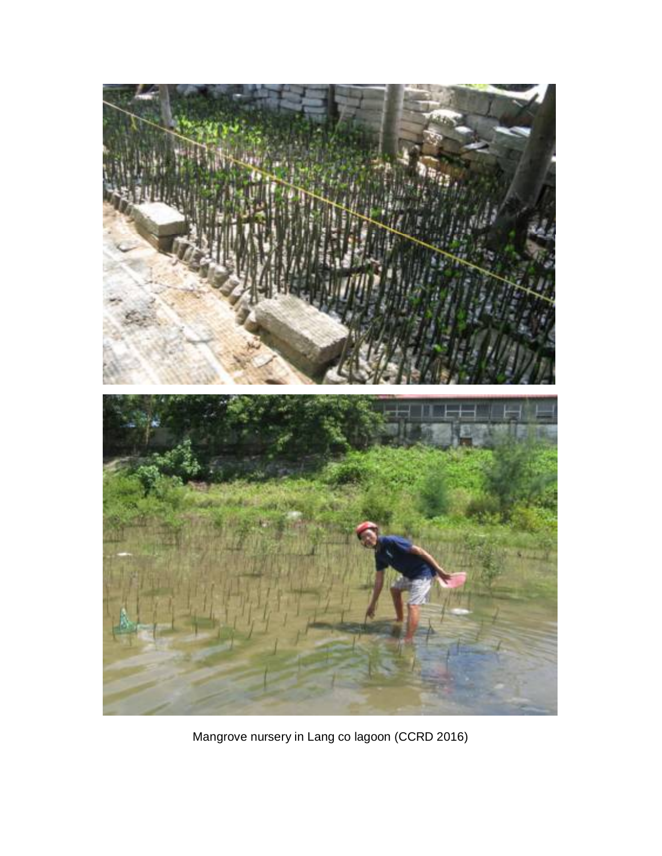

Mangrove nursery in Lang co lagoon (CCRD 2016)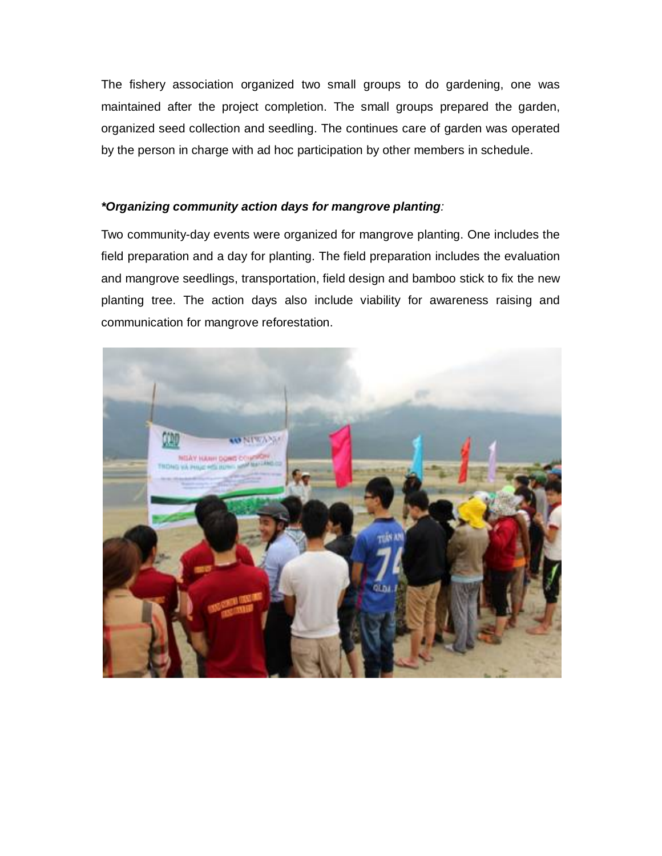The fishery association organized two small groups to do gardening, one was maintained after the project completion. The small groups prepared the garden, organized seed collection and seedling. The continues care of garden was operated by the person in charge with ad hoc participation by other members in schedule.

## *\*Organizing community action days for mangrove planting:*

Two community-day events were organized for mangrove planting. One includes the field preparation and a day for planting. The field preparation includes the evaluation and mangrove seedlings, transportation, field design and bamboo stick to fix the new planting tree. The action days also include viability for awareness raising and communication for mangrove reforestation.

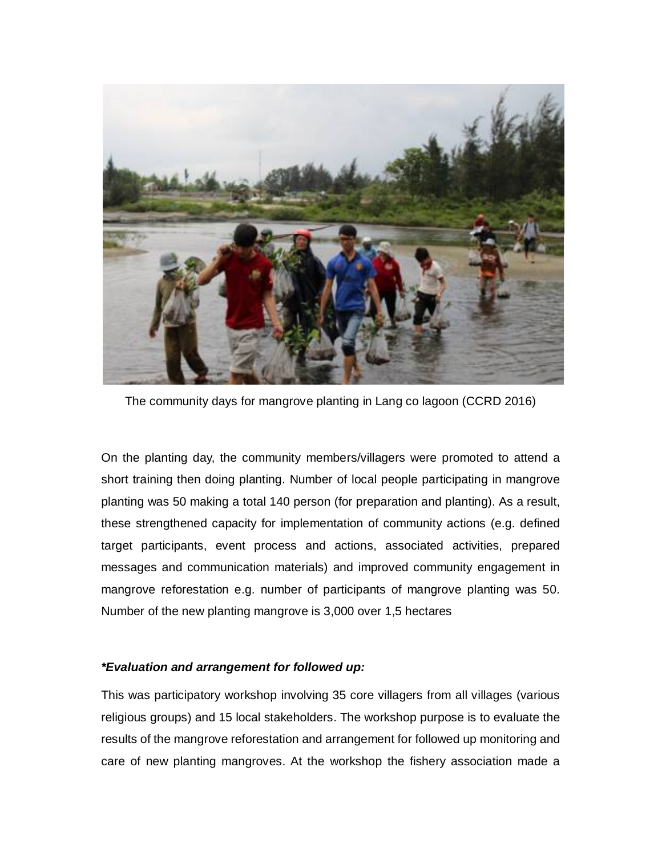

The community days for mangrove planting in Lang co lagoon (CCRD 2016)

On the planting day, the community members/villagers were promoted to attend a short training then doing planting. Number of local people participating in mangrove planting was 50 making a total 140 person (for preparation and planting). As a result, these strengthened capacity for implementation of community actions (e.g. defined target participants, event process and actions, associated activities, prepared messages and communication materials) and improved community engagement in mangrove reforestation e.g. number of participants of mangrove planting was 50. Number of the new planting mangrove is 3,000 over 1,5 hectares

#### *\*Evaluation and arrangement for followed up:*

This was participatory workshop involving 35 core villagers from all villages (various religious groups) and 15 local stakeholders. The workshop purpose is to evaluate the results of the mangrove reforestation and arrangement for followed up monitoring and care of new planting mangroves. At the workshop the fishery association made a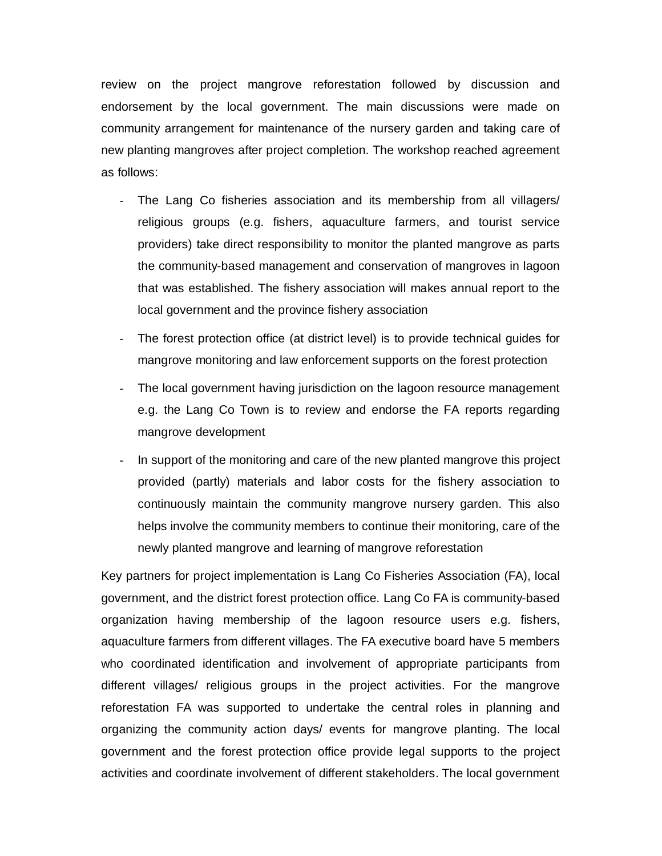review on the project mangrove reforestation followed by discussion and endorsement by the local government. The main discussions were made on community arrangement for maintenance of the nursery garden and taking care of new planting mangroves after project completion. The workshop reached agreement as follows:

- The Lang Co fisheries association and its membership from all villagers/ religious groups (e.g. fishers, aquaculture farmers, and tourist service providers) take direct responsibility to monitor the planted mangrove as parts the community-based management and conservation of mangroves in lagoon that was established. The fishery association will makes annual report to the local government and the province fishery association
- The forest protection office (at district level) is to provide technical guides for mangrove monitoring and law enforcement supports on the forest protection
- The local government having jurisdiction on the lagoon resource management e.g. the Lang Co Town is to review and endorse the FA reports regarding mangrove development
- In support of the monitoring and care of the new planted mangrove this project provided (partly) materials and labor costs for the fishery association to continuously maintain the community mangrove nursery garden. This also helps involve the community members to continue their monitoring, care of the newly planted mangrove and learning of mangrove reforestation

Key partners for project implementation is Lang Co Fisheries Association (FA), local government, and the district forest protection office. Lang Co FA is community-based organization having membership of the lagoon resource users e.g. fishers, aquaculture farmers from different villages. The FA executive board have 5 members who coordinated identification and involvement of appropriate participants from different villages/ religious groups in the project activities. For the mangrove reforestation FA was supported to undertake the central roles in planning and organizing the community action days/ events for mangrove planting. The local government and the forest protection office provide legal supports to the project activities and coordinate involvement of different stakeholders. The local government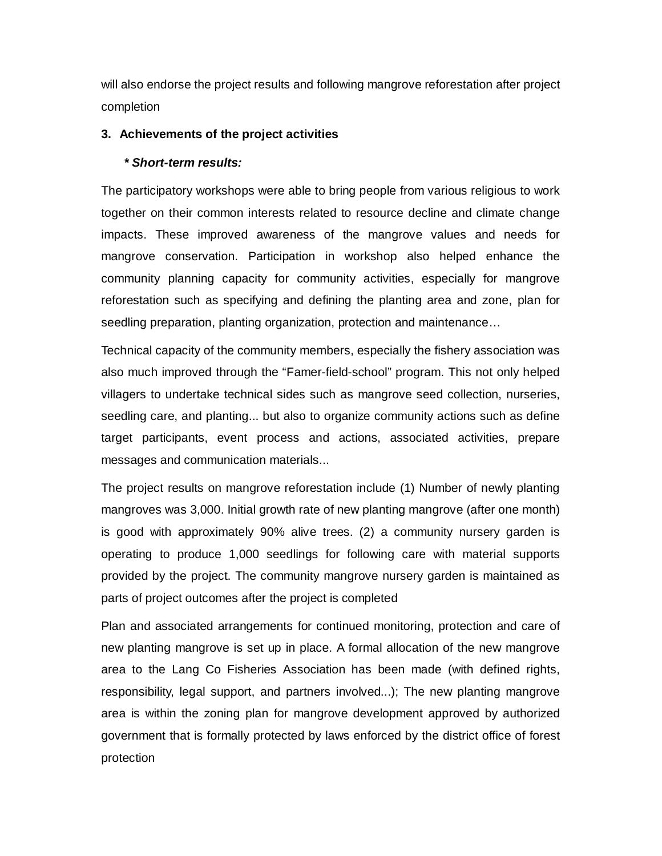will also endorse the project results and following mangrove reforestation after project completion

### **3. Achievements of the project activities**

### *\* Short-term results:*

The participatory workshops were able to bring people from various religious to work together on their common interests related to resource decline and climate change impacts. These improved awareness of the mangrove values and needs for mangrove conservation. Participation in workshop also helped enhance the community planning capacity for community activities, especially for mangrove reforestation such as specifying and defining the planting area and zone, plan for seedling preparation, planting organization, protection and maintenance…

Technical capacity of the community members, especially the fishery association was also much improved through the "Famer-field-school" program. This not only helped villagers to undertake technical sides such as mangrove seed collection, nurseries, seedling care, and planting... but also to organize community actions such as define target participants, event process and actions, associated activities, prepare messages and communication materials...

The project results on mangrove reforestation include (1) Number of newly planting mangroves was 3,000. Initial growth rate of new planting mangrove (after one month) is good with approximately 90% alive trees. (2) a community nursery garden is operating to produce 1,000 seedlings for following care with material supports provided by the project. The community mangrove nursery garden is maintained as parts of project outcomes after the project is completed

Plan and associated arrangements for continued monitoring, protection and care of new planting mangrove is set up in place. A formal allocation of the new mangrove area to the Lang Co Fisheries Association has been made (with defined rights, responsibility, legal support, and partners involved...); The new planting mangrove area is within the zoning plan for mangrove development approved by authorized government that is formally protected by laws enforced by the district office of forest protection